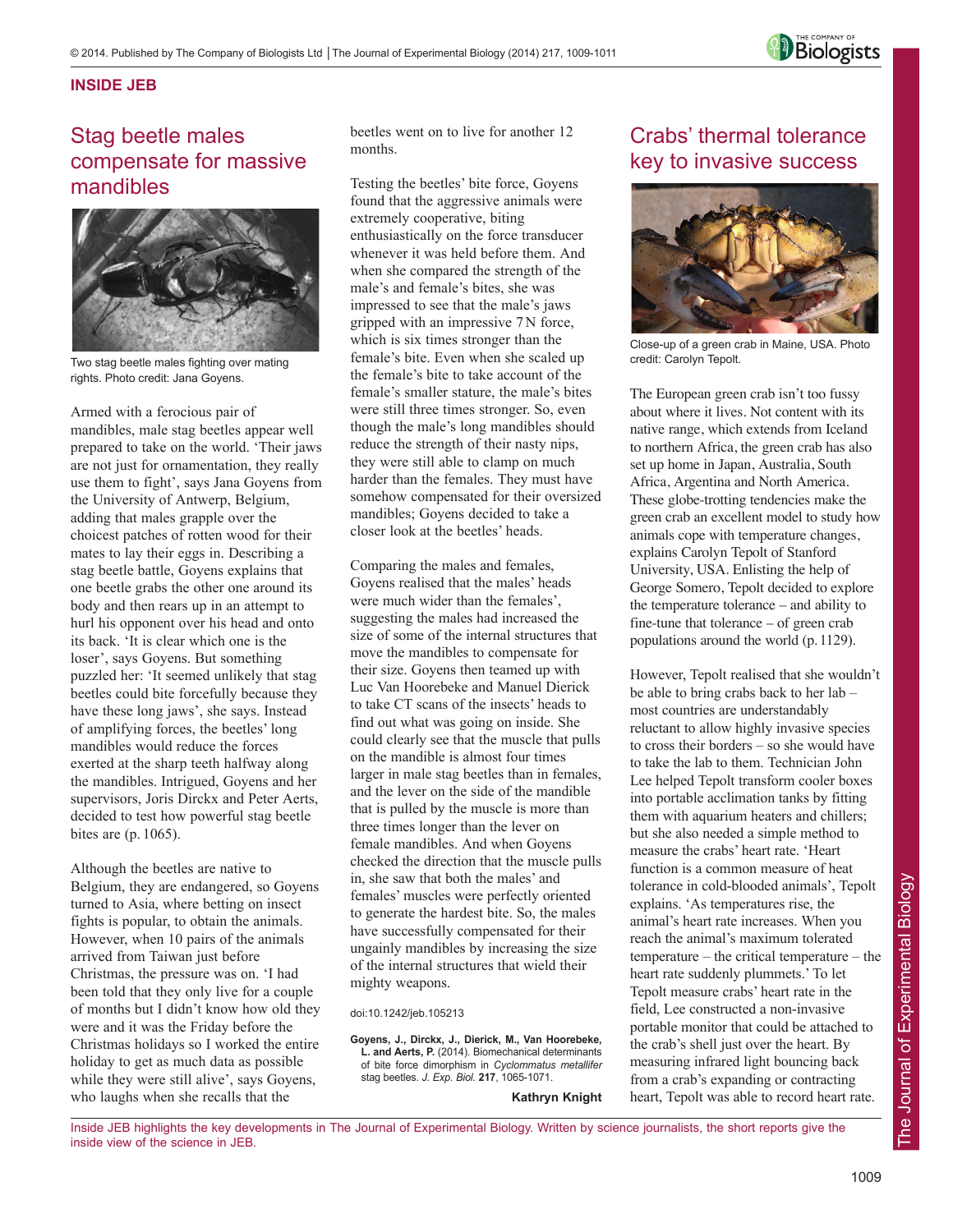

### **INSIDE JEB**

# Stag beetle males compensate for massive mandibles



Two stag beetle males fighting over mating rights. Photo credit: Jana Goyens.

Armed with a ferocious pair of mandibles, male stag beetles appear well prepared to take on the world. 'Their jaws are not just for ornamentation, they really use them to fight', says Jana Goyens from the University of Antwerp, Belgium, adding that males grapple over the choicest patches of rotten wood for their mates to lay their eggs in. Describing a stag beetle battle, Goyens explains that one beetle grabs the other one around its body and then rears up in an attempt to hurl his opponent over his head and onto its back. 'It is clear which one is the loser', says Goyens. But something puzzled her: 'It seemed unlikely that stag beetles could bite forcefully because they have these long jaws', she says. Instead of amplifying forces, the beetles' long mandibles would reduce the forces exerted at the sharp teeth halfway along the mandibles. Intrigued, Goyens and her supervisors, Joris Dirckx and Peter Aerts, decided to test how powerful stag beetle bites are (p. 1065).

Although the beetles are native to Belgium, they are endangered, so Goyens turned to Asia, where betting on insect fights is popular, to obtain the animals. However, when 10 pairs of the animals arrived from Taiwan just before Christmas, the pressure was on. 'I had been told that they only live for a couple of months but I didn't know how old they were and it was the Friday before the Christmas holidays so I worked the entire holiday to get as much data as possible while they were still alive', says Goyens, who laughs when she recalls that the

beetles went on to live for another 12 months.

Testing the beetles' bite force, Goyens found that the aggressive animals were extremely cooperative, biting enthusiastically on the force transducer whenever it was held before them. And when she compared the strength of the male's and female's bites, she was impressed to see that the male's jaws gripped with an impressive 7 N force, which is six times stronger than the female's bite. Even when she scaled up the female's bite to take account of the female's smaller stature, the male's bites were still three times stronger. So, even though the male's long mandibles should reduce the strength of their nasty nips, they were still able to clamp on much harder than the females. They must have somehow compensated for their oversized mandibles; Goyens decided to take a closer look at the beetles' heads.

Comparing the males and females, Goyens realised that the males' heads were much wider than the females', suggesting the males had increased the size of some of the internal structures that move the mandibles to compensate for their size. Goyens then teamed up with Luc Van Hoorebeke and Manuel Dierick to take CT scans of the insects' heads to find out what was going on inside. She could clearly see that the muscle that pulls on the mandible is almost four times larger in male stag beetles than in females, and the lever on the side of the mandible that is pulled by the muscle is more than three times longer than the lever on female mandibles. And when Goyens checked the direction that the muscle pulls in, she saw that both the males' and females' muscles were perfectly oriented to generate the hardest bite. So, the males have successfully compensated for their ungainly mandibles by increasing the size of the internal structures that wield their mighty weapons.

doi:10.1242/jeb.105213

**Goyens, J., Dirckx, J., Dierick, M., Van Hoorebeke, L. and Aerts, P.** (2014). Biomechanical determinants of bite force dimorphism in *Cyclommatus metallifer* stag beetles. *J. Exp. Biol.* **217**, 1065-1071.

**Kathryn Knight**

# Crabs' thermal tolerance key to invasive success



Close-up of a green crab in Maine, USA. Photo credit: Carolyn Tepolt.

The European green crab isn't too fussy about where it lives. Not content with its native range, which extends from Iceland to northern Africa, the green crab has also set up home in Japan, Australia, South Africa, Argentina and North America. These globe-trotting tendencies make the green crab an excellent model to study how animals cope with temperature changes, explains Carolyn Tepolt of Stanford University, USA. Enlisting the help of George Somero, Tepolt decided to explore the temperature tolerance – and ability to fine-tune that tolerance – of green crab populations around the world (p.1129).

However, Tepolt realised that she wouldn't be able to bring crabs back to her lab – most countries are understandably reluctant to allow highly invasive species to cross their borders – so she would have to take the lab to them. Technician John Lee helped Tepolt transform cooler boxes into portable acclimation tanks by fitting them with aquarium heaters and chillers; but she also needed a simple method to measure the crabs' heart rate. 'Heart function is a common measure of heat tolerance in cold-blooded animals', Tepolt explains. 'As temperatures rise, the animal's heart rate increases. When you reach the animal's maximum tolerated temperature – the critical temperature – the heart rate suddenly plummets.' To let Tepolt measure crabs' heart rate in the field, Lee constructed a non-invasive portable monitor that could be attached to the crab's shell just over the heart. By measuring infrared light bouncing back from a crab's expanding or contracting heart, Tepolt was able to record heart rate.

Inside JEB highlights the key developments in The Journal of Experimental Biology. Written by science journalists, the short reports give the inside view of the science in JEB.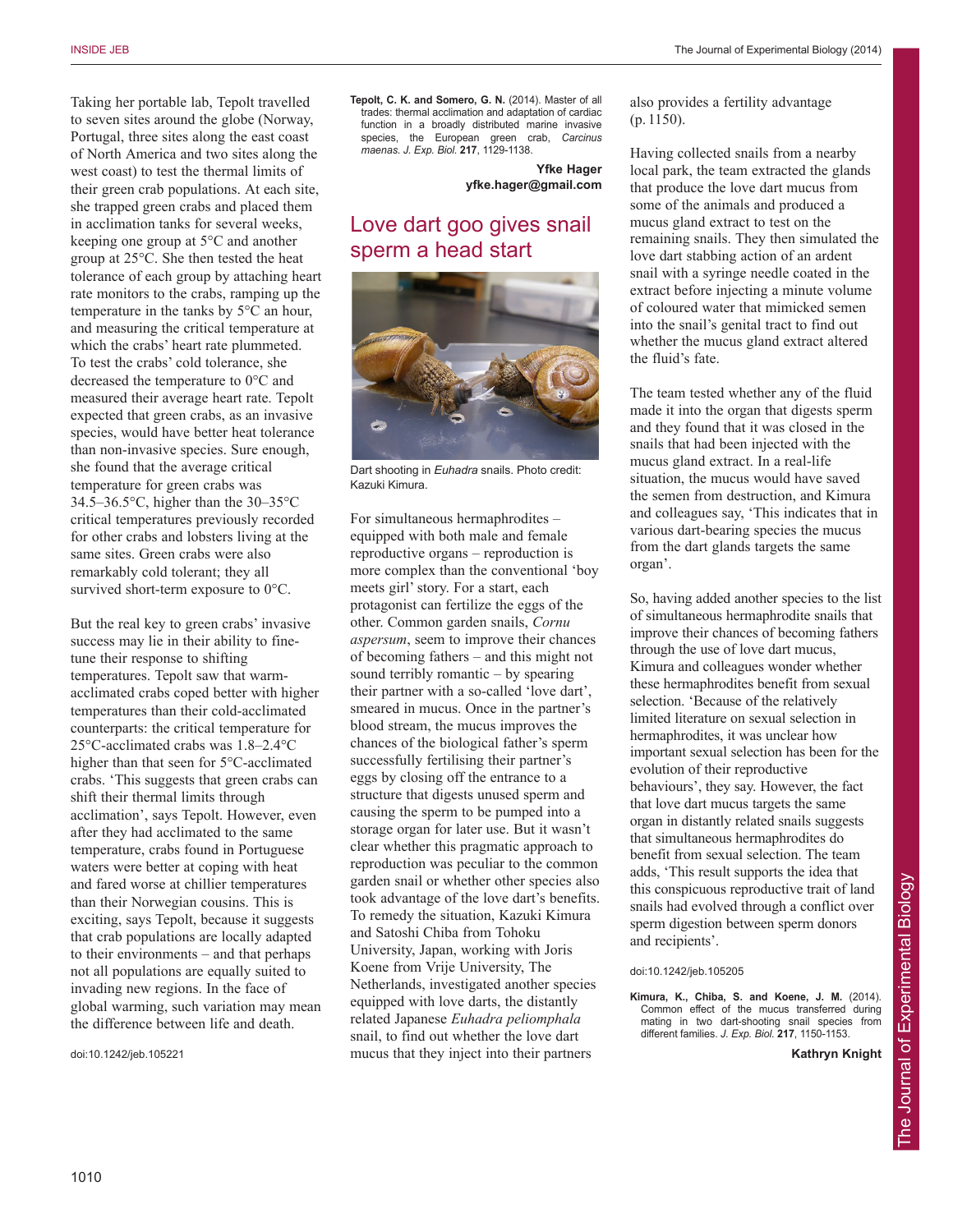Taking her portable lab, Tepolt travelled to seven sites around the globe (Norway, Portugal, three sites along the east coast of North America and two sites along the west coast) to test the thermal limits of their green crab populations. At each site, she trapped green crabs and placed them in acclimation tanks for several weeks, keeping one group at 5°C and another group at 25°C. She then tested the heat tolerance of each group by attaching heart rate monitors to the crabs, ramping up the temperature in the tanks by 5°C an hour, and measuring the critical temperature at which the crabs' heart rate plummeted. To test the crabs' cold tolerance, she decreased the temperature to 0°C and measured their average heart rate. Tepolt expected that green crabs, as an invasive species, would have better heat tolerance than non-invasive species. Sure enough, she found that the average critical temperature for green crabs was 34.5–36.5°C, higher than the 30–35°C critical temperatures previously recorded for other crabs and lobsters living at the same sites. Green crabs were also remarkably cold tolerant; they all survived short-term exposure to 0°C.

But the real key to green crabs' invasive success may lie in their ability to finetune their response to shifting temperatures. Tepolt saw that warmacclimated crabs coped better with higher temperatures than their cold-acclimated counterparts: the critical temperature for 25°C-acclimated crabs was 1.8–2.4°C higher than that seen for 5°C-acclimated crabs. 'This suggests that green crabs can shift their thermal limits through acclimation', says Tepolt. However, even after they had acclimated to the same temperature, crabs found in Portuguese waters were better at coping with heat and fared worse at chillier temperatures than their Norwegian cousins. This is exciting, says Tepolt, because it suggests that crab populations are locally adapted to their environments – and that perhaps not all populations are equally suited to invading new regions. In the face of global warming, such variation may mean the difference between life and death.

doi:10.1242/jeb.105221

**Tepolt, C. K. and Somero, G. N.** (2014). Master of all trades: thermal acclimation and adaptation of cardiac function in a broadly distributed marine invasive species, the European green crab, *Carcinus maenas*. *J. Exp. Biol.* **217**, 1129-1138.

> **Yfke Hager yfke.hager@gmail.com**

## Love dart goo gives snail sperm a head start



Dart shooting in *Euhadra* snails. Photo credit: Kazuki Kimura.

For simultaneous hermaphrodites – equipped with both male and female reproductive organs – reproduction is more complex than the conventional 'boy meets girl' story. For a start, each protagonist can fertilize the eggs of the other. Common garden snails, *Cornu aspersum*, seem to improve their chances of becoming fathers – and this might not sound terribly romantic – by spearing their partner with a so-called 'love dart', smeared in mucus. Once in the partner's blood stream, the mucus improves the chances of the biological father's sperm successfully fertilising their partner's eggs by closing off the entrance to a structure that digests unused sperm and causing the sperm to be pumped into a storage organ for later use. But it wasn't clear whether this pragmatic approach to reproduction was peculiar to the common garden snail or whether other species also took advantage of the love dart's benefits. To remedy the situation, Kazuki Kimura and Satoshi Chiba from Tohoku University, Japan, working with Joris Koene from Vrije University, The Netherlands, investigated another species equipped with love darts, the distantly related Japanese *Euhadra peliomphala* snail, to find out whether the love dart mucus that they inject into their partners

also provides a fertility advantage (p. 1150).

Having collected snails from a nearby local park, the team extracted the glands that produce the love dart mucus from some of the animals and produced a mucus gland extract to test on the remaining snails. They then simulated the love dart stabbing action of an ardent snail with a syringe needle coated in the extract before injecting a minute volume of coloured water that mimicked semen into the snail's genital tract to find out whether the mucus gland extract altered the fluid's fate.

The team tested whether any of the fluid made it into the organ that digests sperm and they found that it was closed in the snails that had been injected with the mucus gland extract. In a real-life situation, the mucus would have saved the semen from destruction, and Kimura and colleagues say, 'This indicates that in various dart-bearing species the mucus from the dart glands targets the same organ'.

So, having added another species to the list of simultaneous hermaphrodite snails that improve their chances of becoming fathers through the use of love dart mucus, Kimura and colleagues wonder whether these hermaphrodites benefit from sexual selection. 'Because of the relatively limited literature on sexual selection in hermaphrodites, it was unclear how important sexual selection has been for the evolution of their reproductive behaviours', they say. However, the fact that love dart mucus targets the same organ in distantly related snails suggests that simultaneous hermaphrodites do benefit from sexual selection. The team adds, 'This result supports the idea that this conspicuous reproductive trait of land snails had evolved through a conflict over sperm digestion between sperm donors and recipients'.

#### doi:10.1242/jeb.105205

**Kimura, K., Chiba, S. and Koene, J. M.** (2014). Common effect of the mucus transferred during mating in two dart-shooting snail species from different families. *J. Exp. Biol.* **217**, 1150-1153.

**Kathryn Knight**